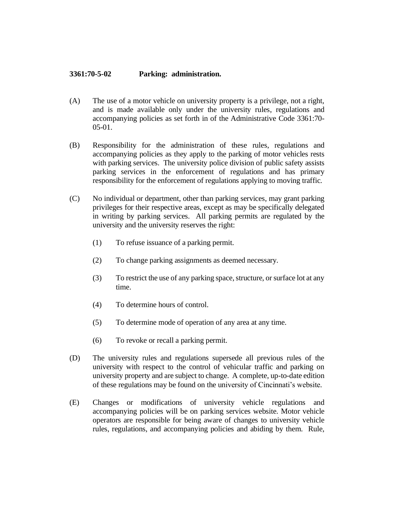## **3361:70-5-02 Parking: administration.**

- (A) The use of a motor vehicle on university property is a privilege, not a right, and is made available only under the university rules, regulations and accompanying policies as set forth in of the Administrative Code 3361:70- 05-01.
- (B) Responsibility for the administration of these rules, regulations and accompanying policies as they apply to the parking of motor vehicles rests with parking services. The university police division of public safety assists parking services in the enforcement of regulations and has primary responsibility for the enforcement of regulations applying to moving traffic.
- (C) No individual or department, other than parking services, may grant parking privileges for their respective areas, except as may be specifically delegated in writing by parking services. All parking permits are regulated by the university and the university reserves the right:
	- (1) To refuse issuance of a parking permit.
	- (2) To change parking assignments as deemed necessary.
	- (3) To restrict the use of any parking space, structure, or surface lot at any time.
	- (4) To determine hours of control.
	- (5) To determine mode of operation of any area at any time.
	- (6) To revoke or recall a parking permit.
- (D) The university rules and regulations supersede all previous rules of the university with respect to the control of vehicular traffic and parking on university property and are subject to change. A complete, up-to-date edition of these regulations may be found on the university of Cincinnati's website.
- (E) Changes or modifications of university vehicle regulations and accompanying policies will be on parking services website. Motor vehicle operators are responsible for being aware of changes to university vehicle rules, regulations, and accompanying policies and abiding by them. Rule,